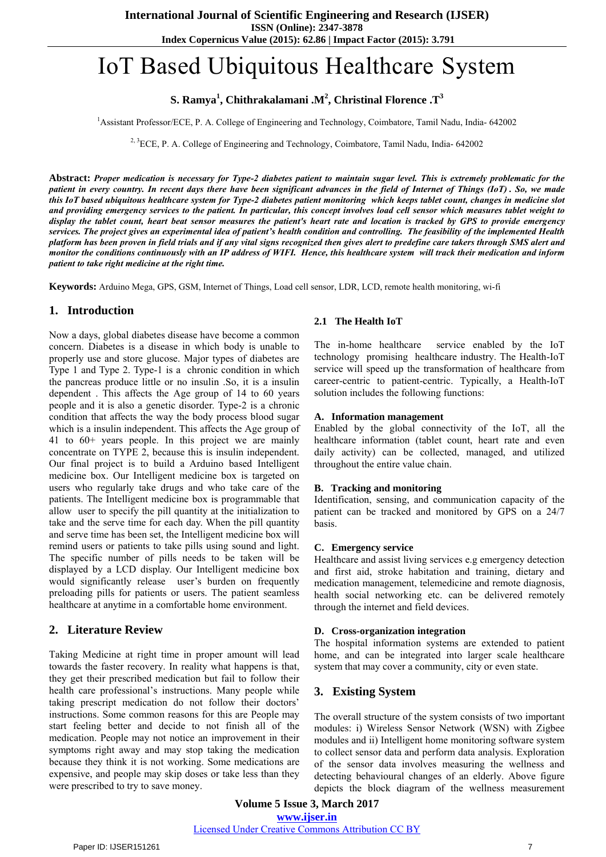**Index Copernicus Value (2015): 62.86 | Impact Factor (2015): 3.791**

# IoT Based Ubiquitous Healthcare System

# **S. Ramya<sup>1</sup> , Chithrakalamani .M<sup>2</sup> , Christinal Florence .T<sup>3</sup>**

<sup>1</sup>Assistant Professor/ECE, P. A. College of Engineering and Technology, Coimbatore, Tamil Nadu, India- 642002

<sup>2, 3</sup>ECE, P. A. College of Engineering and Technology, Coimbatore, Tamil Nadu, India- 642002

**Abstract:** *Proper medication is necessary for Type-2 diabetes patient to maintain sugar level. This is extremely problematic for the patient in every country. In recent days there have been significant advances in the field of Internet of Things (IoT) . So, we made this IoT based ubiquitous healthcare system for Type-2 diabetes patient monitoring which keeps tablet count, changes in medicine slot and providing emergency services to the patient. In particular, this concept involves load cell sensor which measures tablet weight to display the tablet count, heart beat sensor measures the patient's heart rate and location is tracked by GPS to provide emergency services. The project gives an experimental idea of patient's health condition and controlling. The feasibility of the implemented Health platform has been proven in field trials and if any vital signs recognized then gives alert to predefine care takers through SMS alert and monitor the conditions continuously with an IP address of WIFI. Hence, this healthcare system will track their medication and inform patient to take right medicine at the right time.* 

**Keywords:** Arduino Mega, GPS, GSM, Internet of Things, Load cell sensor, LDR, LCD, remote health monitoring, wi-fi

## **1. Introduction**

Now a days, global diabetes disease have become a common concern. Diabetes is a disease in which body is unable to properly use and store glucose. Major types of diabetes are Type 1 and Type 2. Type-1 is a chronic condition in which the pancreas produce little or no insulin .So, it is a insulin dependent . This affects the Age group of 14 to 60 years people and it is also a genetic disorder. Type-2 is a chronic condition that affects the way the body process blood sugar which is a insulin independent. This affects the Age group of 41 to 60+ years people. In this project we are mainly concentrate on TYPE 2, because this is insulin independent. Our final project is to build a Arduino based Intelligent medicine box. Our Intelligent medicine box is targeted on users who regularly take drugs and who take care of the patients. The Intelligent medicine box is programmable that allow user to specify the pill quantity at the initialization to take and the serve time for each day. When the pill quantity and serve time has been set, the Intelligent medicine box will remind users or patients to take pills using sound and light. The specific number of pills needs to be taken will be displayed by a LCD display. Our Intelligent medicine box would significantly release user's burden on frequently preloading pills for patients or users. The patient seamless healthcare at anytime in a comfortable home environment.

## **2. Literature Review**

Taking Medicine at right time in proper amount will lead towards the faster recovery. In reality what happens is that, they get their prescribed medication but fail to follow their health care professional's instructions. Many people while taking prescript medication do not follow their doctors' instructions. Some common reasons for this are People may start feeling better and decide to not finish all of the medication. People may not notice an improvement in their symptoms right away and may stop taking the medication because they think it is not working. Some medications are expensive, and people may skip doses or take less than they were prescribed to try to save money.

## **2.1 The Health IoT**

The in-home healthcare service enabled by the IoT technology promising healthcare industry. The Health-IoT service will speed up the transformation of healthcare from career-centric to patient-centric. Typically, a Health-IoT solution includes the following functions:

#### **A. Information management**

Enabled by the global connectivity of the IoT, all the healthcare information (tablet count, heart rate and even daily activity) can be collected, managed, and utilized throughout the entire value chain.

## **B. Tracking and monitoring**

Identification, sensing, and communication capacity of the patient can be tracked and monitored by GPS on a 24/7 basis.

#### **C. Emergency service**

Healthcare and assist living services e.g emergency detection and first aid, stroke habitation and training, dietary and medication management, telemedicine and remote diagnosis, health social networking etc. can be delivered remotely through the internet and field devices.

## **D. Cross-organization integration**

The hospital information systems are extended to patient home, and can be integrated into larger scale healthcare system that may cover a community, city or even state.

## **3. Existing System**

The overall structure of the system consists of two important modules: i) Wireless Sensor Network (WSN) with Zigbee modules and ii) Intelligent home monitoring software system to collect sensor data and perform data analysis. Exploration of the sensor data involves measuring the wellness and detecting behavioural changes of an elderly. Above figure depicts the block diagram of the wellness measurement

**Volume 5 Issue 3, March 2017 www.ijser.in**

Licensed Under Creative Commons Attribution CC BY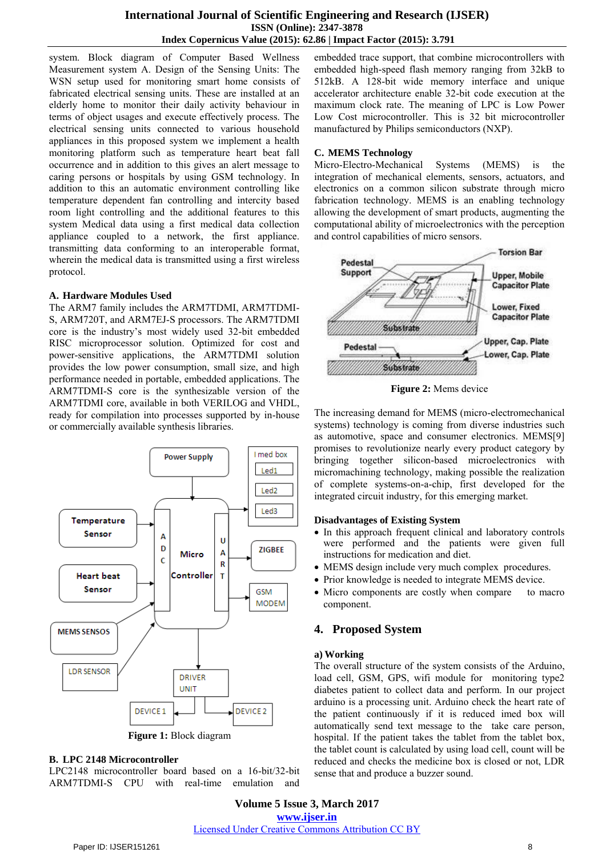## **International Journal of Scientific Engineering and Research (IJSER) ISSN (Online): 2347-3878 Index Copernicus Value (2015): 62.86 | Impact Factor (2015): 3.791**

system. Block diagram of Computer Based Wellness Measurement system A. Design of the Sensing Units: The WSN setup used for monitoring smart home consists of fabricated electrical sensing units. These are installed at an elderly home to monitor their daily activity behaviour in terms of object usages and execute effectively process. The electrical sensing units connected to various household appliances in this proposed system we implement a health monitoring platform such as temperature heart beat fall occurrence and in addition to this gives an alert message to caring persons or hospitals by using GSM technology. In addition to this an automatic environment controlling like temperature dependent fan controlling and intercity based room light controlling and the additional features to this system Medical data using a first medical data collection appliance coupled to a network, the first appliance. transmitting data conforming to an interoperable format, wherein the medical data is transmitted using a first wireless protocol.

## **A. Hardware Modules Used**

The ARM7 family includes the ARM7TDMI, ARM7TDMI-S, ARM720T, and ARM7EJ-S processors. The ARM7TDMI core is the industry's most widely used 32-bit embedded RISC microprocessor solution. Optimized for cost and power-sensitive applications, the ARM7TDMI solution provides the low power consumption, small size, and high performance needed in portable, embedded applications. The ARM7TDMI-S core is the synthesizable version of the ARM7TDMI core, available in both VERILOG and VHDL, ready for compilation into processes supported by in-house or commercially available synthesis libraries.



**Figure 1:** Block diagram

#### **B. LPC 2148 Microcontroller**

LPC2148 microcontroller board based on a 16-bit/32-bit ARM7TDMI-S CPU with real-time emulation and embedded trace support, that combine microcontrollers with embedded high-speed flash memory ranging from 32kB to 512kB. A 128-bit wide memory interface and unique accelerator architecture enable 32-bit code execution at the maximum clock rate. The meaning of LPC is Low Power Low Cost microcontroller. This is 32 bit microcontroller manufactured by Philips semiconductors (NXP).

## **C. MEMS Technology**

Micro-Electro-Mechanical Systems (MEMS) is the integration of mechanical elements, sensors, actuators, and electronics on a common silicon substrate through micro fabrication technology. MEMS is an enabling technology allowing the development of smart products, augmenting the computational ability of microelectronics with the perception and control capabilities of micro sensors.



**Figure 2:** Mems device

The increasing demand for MEMS (micro-electromechanical systems) technology is coming from diverse industries such as automotive, space and consumer electronics. MEMS[9] promises to revolutionize nearly every product category by bringing together silicon-based microelectronics with micromachining technology, making possible the realization of complete systems-on-a-chip, first developed for the integrated circuit industry, for this emerging market.

## **Disadvantages of Existing System**

- In this approach frequent clinical and laboratory controls were performed and the patients were given full instructions for medication and diet.
- MEMS design include very much complex procedures.
- Prior knowledge is needed to integrate MEMS device.
- Micro components are costly when compare to macro component.

## **4. Proposed System**

## **a) Working**

The overall structure of the system consists of the Arduino, load cell, GSM, GPS, wifi module for monitoring type2 diabetes patient to collect data and perform. In our project arduino is a processing unit. Arduino check the heart rate of the patient continuously if it is reduced imed box will automatically send text message to the take care person, hospital. If the patient takes the tablet from the tablet box, the tablet count is calculated by using load cell, count will be reduced and checks the medicine box is closed or not, LDR sense that and produce a buzzer sound.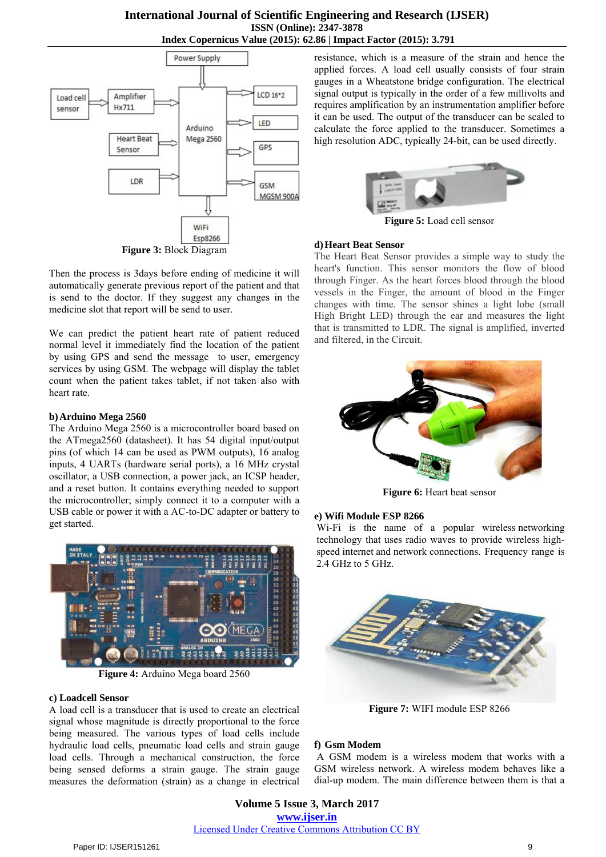## **International Journal of Scientific Engineering and Research (IJSER) ISSN (Online): 2347-3878 Index Copernicus Value (2015): 62.86 | Impact Factor (2015): 3.791**



Then the process is 3days before ending of medicine it will automatically generate previous report of the patient and that is send to the doctor. If they suggest any changes in the medicine slot that report will be send to user.

We can predict the patient heart rate of patient reduced normal level it immediately find the location of the patient by using GPS and send the message to user, emergency services by using GSM. The webpage will display the tablet count when the patient takes tablet, if not taken also with heart rate.

## **b)Arduino Mega 2560**

The Arduino Mega 2560 is a microcontroller board based on the ATmega2560 (datasheet). It has 54 digital input/output pins (of which 14 can be used as PWM outputs), 16 analog inputs, 4 UARTs (hardware serial ports), a 16 MHz crystal oscillator, a USB connection, a power jack, an ICSP header, and a reset button. It contains everything needed to support the microcontroller; simply connect it to a computer with a USB cable or power it with a AC-to-DC adapter or battery to get started.



**Figure 4:** Arduino Mega board 2560

## **c) Loadcell Sensor**

A load cell is a transducer that is used to create an electrical signal whose magnitude is directly proportional to the force being measured. The various types of load cells include hydraulic load cells, pneumatic load cells and strain gauge load cells. Through a mechanical construction, the force being sensed deforms a strain gauge. The strain gauge measures the deformation (strain) as a change in electrical resistance, which is a measure of the strain and hence the applied forces. A load cell usually consists of four strain gauges in a Wheatstone bridge configuration. The electrical signal output is typically in the order of a few millivolts and requires amplification by an instrumentation amplifier before it can be used. The output of the transducer can be scaled to calculate the force applied to the transducer. Sometimes a high resolution ADC, typically 24-bit, can be used directly.



**Figure 5:** Load cell sensor

## **d)Heart Beat Sensor**

The Heart Beat Sensor provides a simple way to study the heart's function. This sensor monitors the flow of blood through Finger. As the heart forces blood through the blood vessels in the Finger, the amount of blood in the Finger changes with time. The sensor shines a light lobe (small High Bright LED) through the ear and measures the light that is transmitted to LDR. The signal is amplified, inverted and filtered, in the Circuit.



**Figure 6:** Heart beat sensor

## **e) Wifi Module ESP 8266**

Wi-Fi is the name of a popular wireless networking technology that uses radio waves to provide wireless highspeed internet and network connections. Frequency range is 2.4 GHz to 5 GHz.



**Figure 7:** WIFI module ESP 8266

## **f) Gsm Modem**

 A GSM modem is a wireless modem that works with a GSM wireless network. A wireless modem behaves like a dial-up modem. The main difference between them is that a

**Volume 5 Issue 3, March 2017 www.ijser.in** Licensed Under Creative Commons Attribution CC BY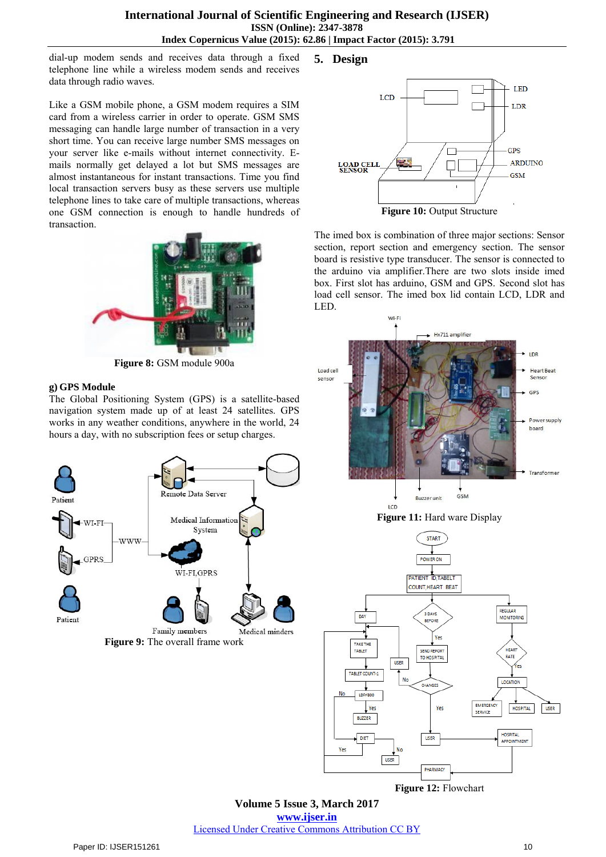dial-up modem sends and receives data through a fixed telephone line while a wireless modem sends and receives data through radio waves.

Like a GSM mobile phone, a GSM modem requires a SIM card from a wireless carrier in order to operate. GSM SMS messaging can handle large number of transaction in a very short time. You can receive large number SMS messages on your server like e-mails without internet connectivity. Emails normally get delayed a lot but SMS messages are almost instantaneous for instant transactions. Time you find local transaction servers busy as these servers use multiple telephone lines to take care of multiple transactions, whereas one GSM connection is enough to handle hundreds of transaction.



**Figure 8:** GSM module 900a

## **g) GPS Module**

The Global Positioning System (GPS) is a satellite-based navigation system made up of at least 24 satellites. GPS works in any weather conditions, anywhere in the world, 24 hours a day, with no subscription fees or setup charges.



## **5. Design**



The imed box is combination of three major sections: Sensor section, report section and emergency section. The sensor board is resistive type transducer. The sensor is connected to the arduino via amplifier.There are two slots inside imed box. First slot has arduino, GSM and GPS. Second slot has load cell sensor. The imed box lid contain LCD, LDR and LED.



**Figure 12:** Flowchart

**Volume 5 Issue 3, March 2017 www.ijser.in** Licensed Under Creative Commons Attribution CC BY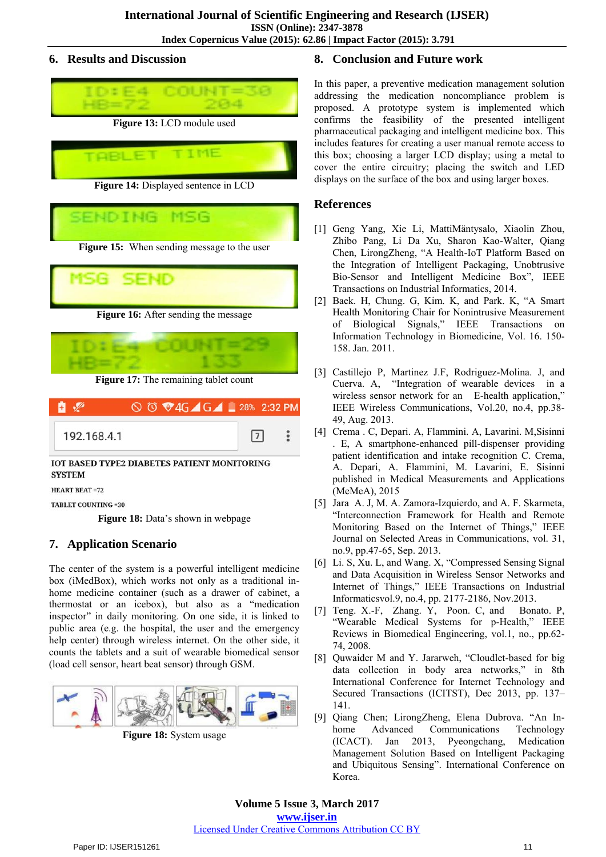## **6. Results and Discussion**



**Figure 15:** When sending message to the user





**Figure 17:** The remaining tablet count

| $\mathbf{H}$ |  | ◯ <sup>①</sup> ♥4G G G 28% 2:32 PM |  |   |  |
|--------------|--|------------------------------------|--|---|--|
| 192.168.4.1  |  |                                    |  | 7 |  |

IOT BASED TYPE2 DIABETES PATIENT MONITORING **SYSTEM** 

HEART REAT =72

**TABLET COUNTING =30** 

Figure 18: Data's shown in webpage

# **7. Application Scenario**

The center of the system is a powerful intelligent medicine box (iMedBox), which works not only as a traditional inhome medicine container (such as a drawer of cabinet, a thermostat or an icebox), but also as a "medication inspector" in daily monitoring. On one side, it is linked to public area (e.g. the hospital, the user and the emergency help center) through wireless internet. On the other side, it counts the tablets and a suit of wearable biomedical sensor (load cell sensor, heart beat sensor) through GSM.



**Figure 18:** System usage

# **8. Conclusion and Future work**

In this paper, a preventive medication management solution addressing the medication noncompliance problem is proposed. A prototype system is implemented which confirms the feasibility of the presented intelligent pharmaceutical packaging and intelligent medicine box. This includes features for creating a user manual remote access to this box; choosing a larger LCD display; using a metal to cover the entire circuitry; placing the switch and LED displays on the surface of the box and using larger boxes.

# **References**

- [1] Geng Yang, Xie Li, MattiMäntysalo, Xiaolin Zhou, Zhibo Pang, Li Da Xu, Sharon Kao-Walter, Qiang Chen, LirongZheng, "A Health-IoT Platform Based on the Integration of Intelligent Packaging, Unobtrusive Bio-Sensor and Intelligent Medicine Box", IEEE Transactions on Industrial Informatics, 2014.
- [2] Baek. H, Chung. G, Kim. K, and Park. K, "A Smart Health Monitoring Chair for Nonintrusive Measurement of Biological Signals," IEEE Transactions on Information Technology in Biomedicine, Vol. 16. 150- 158. Jan. 2011.
- [3] Castillejo P, Martinez J.F, Rodriguez-Molina. J, and Cuerva. A, "Integration of wearable devices in a wireless sensor network for an E-health application," IEEE Wireless Communications, Vol.20, no.4, pp.38- 49, Aug. 2013.
- [4] Crema . C, Depari. A, Flammini. A, Lavarini. M,Sisinni . E, A smartphone-enhanced pill-dispenser providing patient identification and intake recognition C. Crema, A. Depari, A. Flammini, M. Lavarini, E. Sisinni published in Medical Measurements and Applications (MeMeA), 2015
- [5] Jara A. J, M. A. Zamora-Izquierdo, and A. F. Skarmeta, "Interconnection Framework for Health and Remote Monitoring Based on the Internet of Things," IEEE Journal on Selected Areas in Communications, vol. 31, no.9, pp.47-65, Sep. 2013.
- [6] Li. S, Xu. L, and Wang. X, "Compressed Sensing Signal and Data Acquisition in Wireless Sensor Networks and Internet of Things," IEEE Transactions on Industrial Informaticsvol.9, no.4, pp. 2177-2186, Nov.2013.
- [7] Teng. X.-F, Zhang. Y, Poon. C, and Bonato. P, "Wearable Medical Systems for p-Health," IEEE Reviews in Biomedical Engineering, vol.1, no., pp.62- 74, 2008.
- [8] Quwaider M and Y. Jararweh, "Cloudlet-based for big data collection in body area networks," in 8th International Conference for Internet Technology and Secured Transactions (ICITST), Dec 2013, pp. 137– 141.
- [9] Qiang Chen; LirongZheng, Elena Dubrova. "An Inhome Advanced Communications Technology (ICACT). Jan 2013, Pyeongchang, Medication Management Solution Based on Intelligent Packaging and Ubiquitous Sensing". International Conference on Korea.